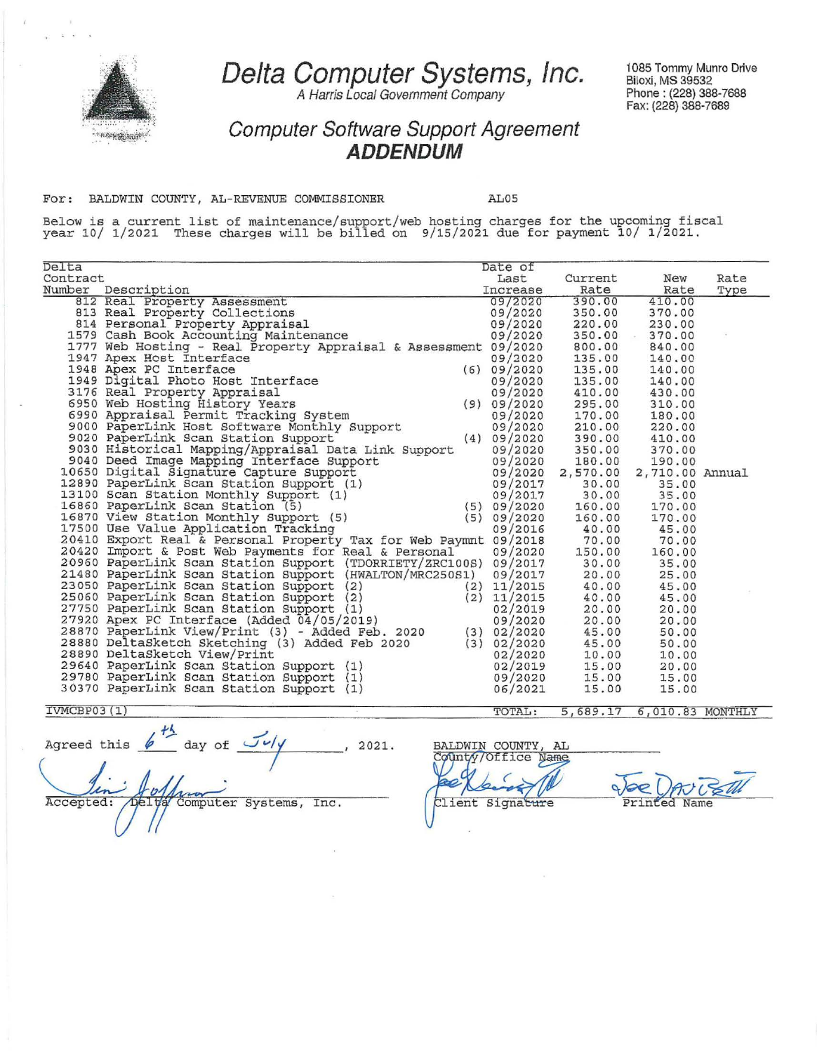

**Delta Computer Systems, Inc.** 

A Harris Local Government Company

1085 Tommy Munro Drive Biloxi, MS 39532 Phone: (228) 388-7688 Fax: (228) 388-7689

**Computer Software Support Agreement ADDENDUM** 

For: BALDWIN COUNTY, AL-REVENUE COMMISSIONER AL05

Below is a current list of maintenance/support/web hosting charges for the upcoming fiscal year 10/ 1/2021 These charges will be billed on 9/15/2021 due for payment 10/ 1/2021.

| Delta       |                                                                                                                                                                                                                                              | Date of  |                           |        |      |
|-------------|----------------------------------------------------------------------------------------------------------------------------------------------------------------------------------------------------------------------------------------------|----------|---------------------------|--------|------|
| Contract    |                                                                                                                                                                                                                                              | Last     | Current                   | New    | Rate |
|             | Number Description                                                                                                                                                                                                                           | Increase | Rate                      | Rate   | Type |
|             | 812 Real Property Assessment                                                                                                                                                                                                                 | 09/2020  | 390.00                    | 410.00 |      |
|             |                                                                                                                                                                                                                                              | 09/2020  | 350.00                    | 370.00 |      |
|             |                                                                                                                                                                                                                                              |          |                           |        |      |
|             | 813 Real Property Collections<br>814 Personal Property Appraisal<br>1579 Cash Book Accounting Maintenance                                                                                                                                    |          |                           |        |      |
|             | 814 Personal Property Appraisal and 09/2020 220.00 230.00<br>1579 Cash Book Accounting Maintenance 09/2020 350.00 370.00<br>1777 Web Hosting - Real Property Appraisal & Assessment 09/2020 800.00 840.00                                    |          |                           |        |      |
|             |                                                                                                                                                                                                                                              |          |                           |        |      |
|             | 1777 Web About Interface<br>1948 Apex PC Interface<br>1948 Apex PC Interface<br>1949 Digital Photo Host Interface<br>195.00 140.00<br>3176 Real Property Appraisal<br>6970 Web Hosting History Years<br>6990 Appraisal Permit Tracking Syste |          |                           |        |      |
|             |                                                                                                                                                                                                                                              |          |                           |        |      |
|             |                                                                                                                                                                                                                                              |          |                           |        |      |
|             |                                                                                                                                                                                                                                              |          |                           |        |      |
|             |                                                                                                                                                                                                                                              |          |                           |        |      |
|             |                                                                                                                                                                                                                                              |          |                           |        |      |
|             |                                                                                                                                                                                                                                              |          |                           |        |      |
|             |                                                                                                                                                                                                                                              |          |                           |        |      |
|             | 9040 Deed Image Mapping Interface Support<br>10650 Digital Signature Capture Support<br>10650 Digital Signature Capture Support<br>12890 PaperLink Scan Station Support<br>12890 PaperLink Scan Station Support<br>13100 Scan Station Mo     |          |                           |        |      |
|             |                                                                                                                                                                                                                                              |          |                           |        |      |
|             |                                                                                                                                                                                                                                              |          |                           |        |      |
|             |                                                                                                                                                                                                                                              |          |                           |        |      |
|             |                                                                                                                                                                                                                                              |          |                           |        |      |
|             |                                                                                                                                                                                                                                              |          |                           |        |      |
|             | 17500 Use Value Application Tracking                                                                                                                                                                                                         |          | 09/2016 40.00 45.00       |        |      |
|             | 20410 Export Real & Personal Property Tax for Web Paymnt 09/2018 70.00<br>20420 Import & Post Web Payments for Real & Personal 09/2020 150.00 1                                                                                              |          |                           | 70.00  |      |
|             |                                                                                                                                                                                                                                              |          |                           | 160.00 |      |
|             |                                                                                                                                                                                                                                              |          |                           | 35.00  |      |
|             |                                                                                                                                                                                                                                              |          |                           | 25.00  |      |
|             |                                                                                                                                                                                                                                              |          |                           | 45.00  |      |
|             |                                                                                                                                                                                                                                              |          |                           | 45.00  |      |
|             |                                                                                                                                                                                                                                              |          |                           | 20.00  |      |
|             |                                                                                                                                                                                                                                              |          |                           | 20.00  |      |
|             |                                                                                                                                                                                                                                              |          |                           | 50.00  |      |
|             |                                                                                                                                                                                                                                              |          |                           | 50.00  |      |
|             |                                                                                                                                                                                                                                              |          |                           | 10.00  |      |
|             |                                                                                                                                                                                                                                              |          |                           | 20.00  |      |
|             | 20960 Experiink Scan Station Support (FDORRIETY/ZRC100S) 09/2017 30.00 14<br>20960 Experiink Scan Station Support (FDORRIETY/ZRC100S) 09/2017 30.00 2<br>21480 Paperlink Scan Station Support (2) (2) 11/2015 40.00<br>23050 Paperl          |          |                           | 15.00  |      |
|             | 29640 PaperLink Scan Station Support (1)<br>29780 PaperLink Scan Station Support (1)<br>30370 PaperLink Scan Station Support (1)                                                                                                             | 06/2021  | 15.00                     | 15.00  |      |
| IVMCBP03(1) |                                                                                                                                                                                                                                              | TOTAL:   | 5,689.17 6.010.83 MONTHLY |        |      |

Agreed this  $h \stackrel{fA}{=}$  day of  $\frac{J \cdot f}{\cdot}$  , 2021. BALDWIN COUNTY, AL  $\overline{1}$ Computer Systems, Inc. Accepted:

d Client Signature Printed  $Name$ 

5 689 .17 6,010 . 83 MONTHLY

TOTAL: